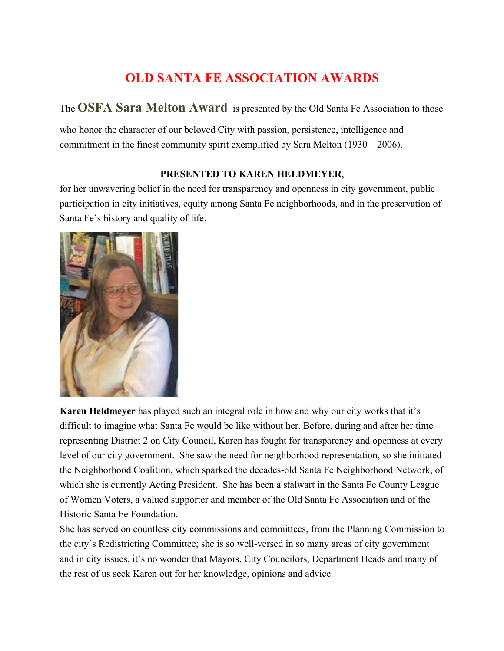# **OLD SANTA FE ASSOCIATION AWARDS**

The **OSFA Sara Melton Award** is presented by the Old Santa Fe Association to those

who honor the character of our beloved City with passion, persistence, intelligence and commitment in the finest community spirit exemplified by Sara Melton (1930 – 2006).

### **PRESENTED TO KAREN HELDMEYER**,

for her unwavering belief in the need for transparency and openness in city government, public participation in city initiatives, equity among Santa Fe neighborhoods, and in the preservation of Santa Fe's history and quality of life.



**Karen Heldmeyer** has played such an integral role in how and why our city works that it's difficult to imagine what Santa Fe would be like without her. Before, during and after her time representing District 2 on City Council, Karen has fought for transparency and openness at every level of our city government. She saw the need for neighborhood representation, so she initiated the Neighborhood Coalition, which sparked the decades-old Santa Fe Neighborhood Network, of which she is currently Acting President. She has been a stalwart in the Santa Fe County League of Women Voters, a valued supporter and member of the Old Santa Fe Association and of the Historic Santa Fe Foundation.

She has served on countless city commissions and committees, from the Planning Commission to the city's Redistricting Committee; she is so well-versed in so many areas of city government and in city issues, it's no wonder that Mayors, City Councilors, Department Heads and many of the rest of us seek Karen out for her knowledge, opinions and advice.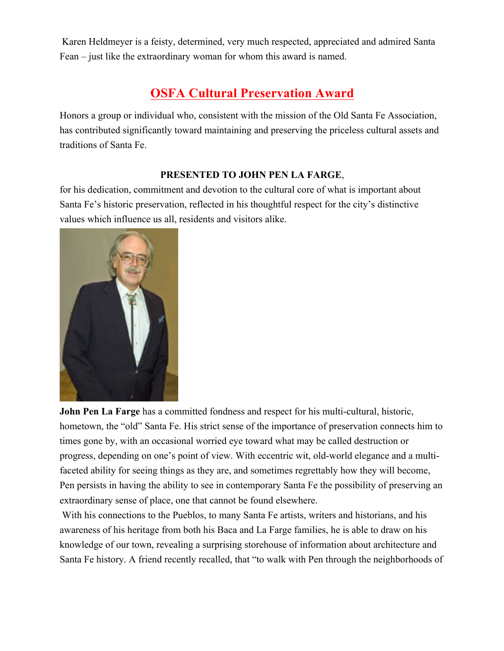Karen Heldmeyer is a feisty, determined, very much respected, appreciated and admired Santa Fean – just like the extraordinary woman for whom this award is named.

# **OSFA Cultural Preservation Award**

Honors a group or individual who, consistent with the mission of the Old Santa Fe Association, has contributed significantly toward maintaining and preserving the priceless cultural assets and traditions of Santa Fe.

### **PRESENTED TO JOHN PEN LA FARGE**,

for his dedication, commitment and devotion to the cultural core of what is important about Santa Fe's historic preservation, reflected in his thoughtful respect for the city's distinctive values which influence us all, residents and visitors alike.



**John Pen La Farge** has a committed fondness and respect for his multi-cultural, historic, hometown, the "old" Santa Fe. His strict sense of the importance of preservation connects him to times gone by, with an occasional worried eye toward what may be called destruction or progress, depending on one's point of view. With eccentric wit, old-world elegance and a multifaceted ability for seeing things as they are, and sometimes regrettably how they will become, Pen persists in having the ability to see in contemporary Santa Fe the possibility of preserving an extraordinary sense of place, one that cannot be found elsewhere.

With his connections to the Pueblos, to many Santa Fe artists, writers and historians, and his awareness of his heritage from both his Baca and La Farge families, he is able to draw on his knowledge of our town, revealing a surprising storehouse of information about architecture and Santa Fe history. A friend recently recalled, that "to walk with Pen through the neighborhoods of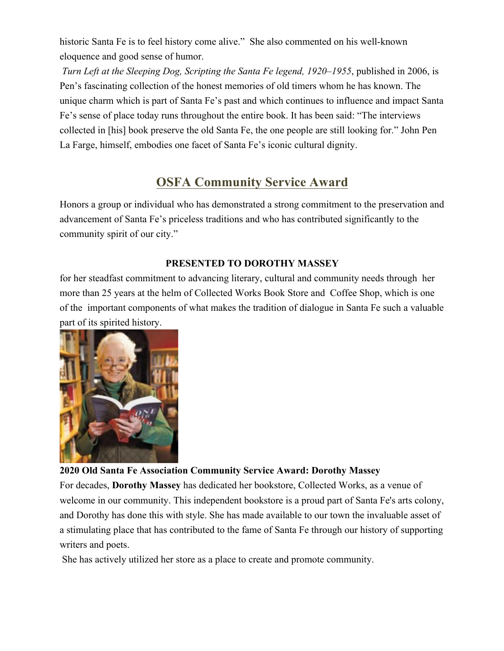historic Santa Fe is to feel history come alive." She also commented on his well-known eloquence and good sense of humor.

*Turn Left at the Sleeping Dog, Scripting the Santa Fe legend, 1920–1955*, published in 2006, is Pen's fascinating collection of the honest memories of old timers whom he has known. The unique charm which is part of Santa Fe's past and which continues to influence and impact Santa Fe's sense of place today runs throughout the entire book. It has been said: "The interviews collected in [his] book preserve the old Santa Fe, the one people are still looking for." John Pen La Farge, himself, embodies one facet of Santa Fe's iconic cultural dignity.

## **OSFA Community Service Award**

Honors a group or individual who has demonstrated a strong commitment to the preservation and advancement of Santa Fe's priceless traditions and who has contributed significantly to the community spirit of our city."

## **PRESENTED TO DOROTHY MASSEY**

for her steadfast commitment to advancing literary, cultural and community needs through her more than 25 years at the helm of Collected Works Book Store and Coffee Shop, which is one of the important components of what makes the tradition of dialogue in Santa Fe such a valuable part of its spirited history.



## **2020 Old Santa Fe Association Community Service Award: Dorothy Massey**

For decades, **Dorothy Massey** has dedicated her bookstore, Collected Works, as a venue of welcome in our community. This independent bookstore is a proud part of Santa Fe's arts colony, and Dorothy has done this with style. She has made available to our town the invaluable asset of a stimulating place that has contributed to the fame of Santa Fe through our history of supporting writers and poets.

She has actively utilized her store as a place to create and promote community.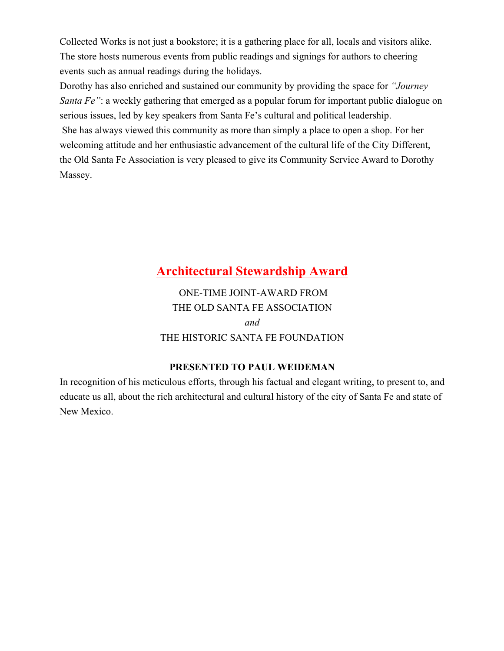Collected Works is not just a bookstore; it is a gathering place for all, locals and visitors alike. The store hosts numerous events from public readings and signings for authors to cheering events such as annual readings during the holidays.

Dorothy has also enriched and sustained our community by providing the space for *"Journey Santa Fe*": a weekly gathering that emerged as a popular forum for important public dialogue on serious issues, led by key speakers from Santa Fe's cultural and political leadership.

She has always viewed this community as more than simply a place to open a shop. For her welcoming attitude and her enthusiastic advancement of the cultural life of the City Different, the Old Santa Fe Association is very pleased to give its Community Service Award to Dorothy Massey.

## **Architectural Stewardship Award**

ONE-TIME JOINT-AWARD FROM THE OLD SANTA FE ASSOCIATION *and* THE HISTORIC SANTA FE FOUNDATION

### **PRESENTED TO PAUL WEIDEMAN**

In recognition of his meticulous efforts, through his factual and elegant writing, to present to, and educate us all, about the rich architectural and cultural history of the city of Santa Fe and state of New Mexico.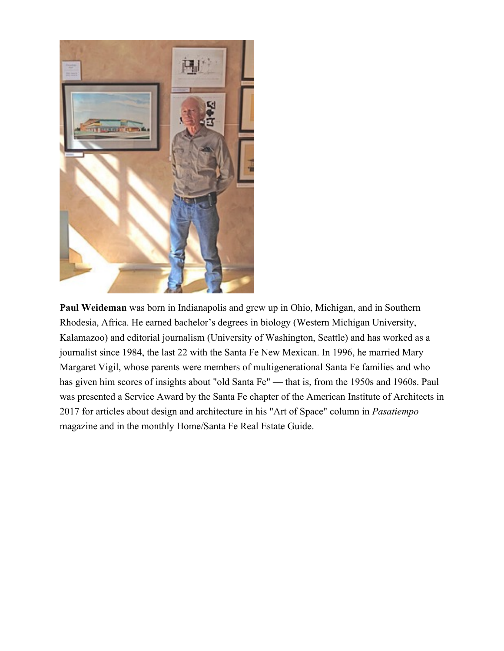

**Paul Weideman** was born in Indianapolis and grew up in Ohio, Michigan, and in Southern Rhodesia, Africa. He earned bachelor's degrees in biology (Western Michigan University, Kalamazoo) and editorial journalism (University of Washington, Seattle) and has worked as a journalist since 1984, the last 22 with the Santa Fe New Mexican. In 1996, he married Mary Margaret Vigil, whose parents were members of multigenerational Santa Fe families and who has given him scores of insights about "old Santa Fe" — that is, from the 1950s and 1960s. Paul was presented a Service Award by the Santa Fe chapter of the American Institute of Architects in 2017 for articles about design and architecture in his "Art of Space" column in *Pasatiempo* magazine and in the monthly Home/Santa Fe Real Estate Guide.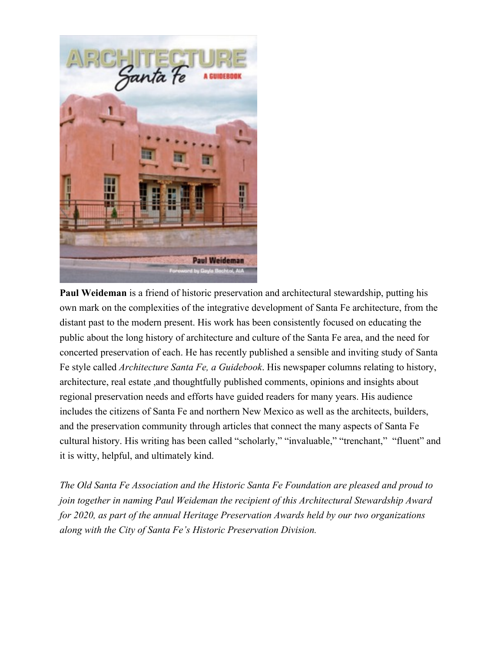

**Paul Weideman** is a friend of historic preservation and architectural stewardship, putting his own mark on the complexities of the integrative development of Santa Fe architecture, from the distant past to the modern present. His work has been consistently focused on educating the public about the long history of architecture and culture of the Santa Fe area, and the need for concerted preservation of each. He has recently published a sensible and inviting study of Santa Fe style called *Architecture Santa Fe, a Guidebook*. His newspaper columns relating to history, architecture, real estate ,and thoughtfully published comments, opinions and insights about regional preservation needs and efforts have guided readers for many years. His audience includes the citizens of Santa Fe and northern New Mexico as well as the architects, builders, and the preservation community through articles that connect the many aspects of Santa Fe cultural history. His writing has been called "scholarly," "invaluable," "trenchant," "fluent" and it is witty, helpful, and ultimately kind.

*The Old Santa Fe Association and the Historic Santa Fe Foundation are pleased and proud to join together in naming Paul Weideman the recipient of this Architectural Stewardship Award for 2020, as part of the annual Heritage Preservation Awards held by our two organizations along with the City of Santa Fe's Historic Preservation Division.*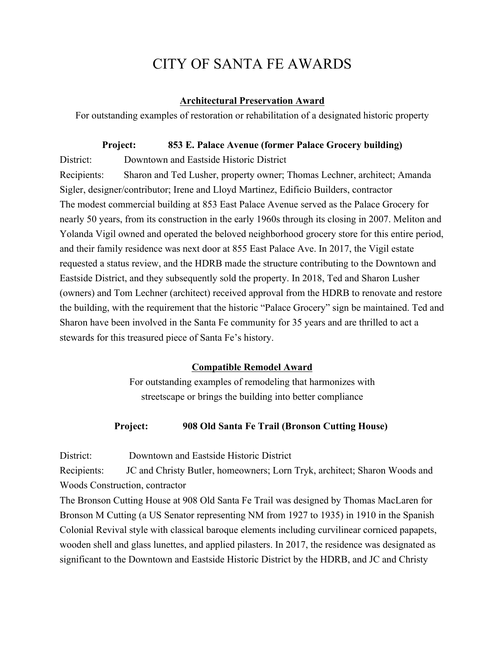# CITY OF SANTA FE AWARDS

#### **Architectural Preservation Award**

For outstanding examples of restoration or rehabilitation of a designated historic property

#### **Project: 853 E. Palace Avenue (former Palace Grocery building)**

District: Downtown and Eastside Historic District

Recipients: Sharon and Ted Lusher, property owner; Thomas Lechner, architect; Amanda Sigler, designer/contributor; Irene and Lloyd Martinez, Edificio Builders, contractor The modest commercial building at 853 East Palace Avenue served as the Palace Grocery for nearly 50 years, from its construction in the early 1960s through its closing in 2007. Meliton and Yolanda Vigil owned and operated the beloved neighborhood grocery store for this entire period, and their family residence was next door at 855 East Palace Ave. In 2017, the Vigil estate requested a status review, and the HDRB made the structure contributing to the Downtown and Eastside District, and they subsequently sold the property. In 2018, Ted and Sharon Lusher (owners) and Tom Lechner (architect) received approval from the HDRB to renovate and restore the building, with the requirement that the historic "Palace Grocery" sign be maintained. Ted and Sharon have been involved in the Santa Fe community for 35 years and are thrilled to act a stewards for this treasured piece of Santa Fe's history.

#### **Compatible Remodel Award**

For outstanding examples of remodeling that harmonizes with streetscape or brings the building into better compliance

#### **Project: 908 Old Santa Fe Trail (Bronson Cutting House)**

District: Downtown and Eastside Historic District

Recipients: JC and Christy Butler, homeowners; Lorn Tryk, architect; Sharon Woods and Woods Construction, contractor

The Bronson Cutting House at 908 Old Santa Fe Trail was designed by Thomas MacLaren for Bronson M Cutting (a US Senator representing NM from 1927 to 1935) in 1910 in the Spanish Colonial Revival style with classical baroque elements including curvilinear corniced papapets, wooden shell and glass lunettes, and applied pilasters. In 2017, the residence was designated as significant to the Downtown and Eastside Historic District by the HDRB, and JC and Christy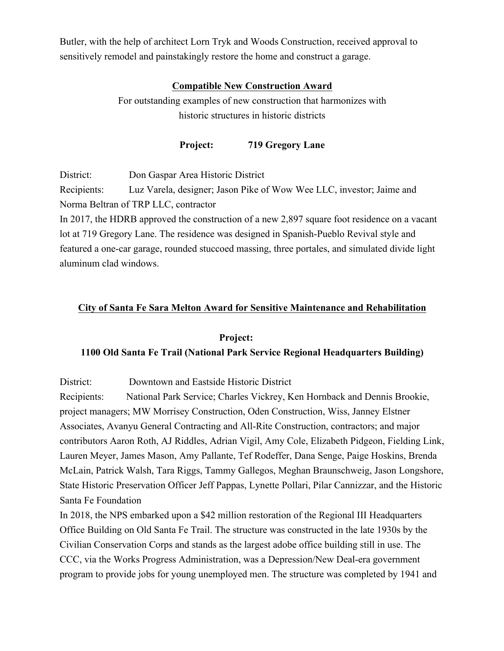Butler, with the help of architect Lorn Tryk and Woods Construction, received approval to sensitively remodel and painstakingly restore the home and construct a garage.

#### **Compatible New Construction Award**

For outstanding examples of new construction that harmonizes with historic structures in historic districts

**Project: 719 Gregory Lane**

District: Don Gaspar Area Historic District

Recipients: Luz Varela, designer; Jason Pike of Wow Wee LLC, investor; Jaime and Norma Beltran of TRP LLC, contractor

In 2017, the HDRB approved the construction of a new 2,897 square foot residence on a vacant lot at 719 Gregory Lane. The residence was designed in Spanish-Pueblo Revival style and featured a one-car garage, rounded stuccoed massing, three portales, and simulated divide light aluminum clad windows.

#### **City of Santa Fe Sara Melton Award for Sensitive Maintenance and Rehabilitation**

#### **Project:**

#### **1100 Old Santa Fe Trail (National Park Service Regional Headquarters Building)**

District: Downtown and Eastside Historic District

Recipients: National Park Service; Charles Vickrey, Ken Hornback and Dennis Brookie, project managers; MW Morrisey Construction, Oden Construction, Wiss, Janney Elstner Associates, Avanyu General Contracting and All-Rite Construction, contractors; and major contributors Aaron Roth, AJ Riddles, Adrian Vigil, Amy Cole, Elizabeth Pidgeon, Fielding Link, Lauren Meyer, James Mason, Amy Pallante, Tef Rodeffer, Dana Senge, Paige Hoskins, Brenda McLain, Patrick Walsh, Tara Riggs, Tammy Gallegos, Meghan Braunschweig, Jason Longshore, State Historic Preservation Officer Jeff Pappas, Lynette Pollari, Pilar Cannizzar, and the Historic Santa Fe Foundation

In 2018, the NPS embarked upon a \$42 million restoration of the Regional III Headquarters Office Building on Old Santa Fe Trail. The structure was constructed in the late 1930s by the Civilian Conservation Corps and stands as the largest adobe office building still in use. The CCC, via the Works Progress Administration, was a Depression/New Deal-era government program to provide jobs for young unemployed men. The structure was completed by 1941 and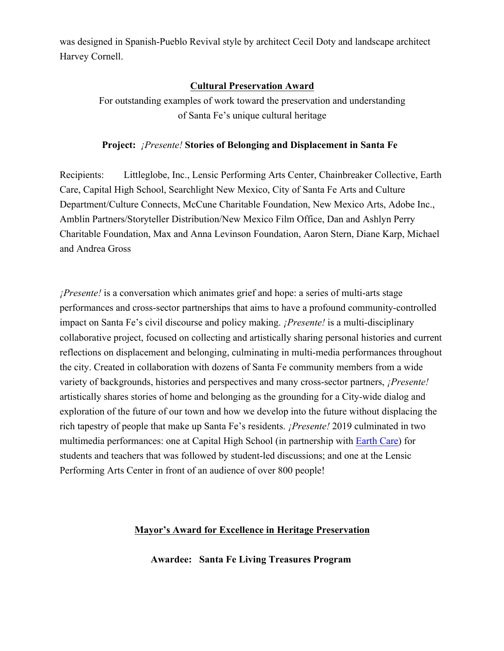was designed in Spanish-Pueblo Revival style by architect Cecil Doty and landscape architect Harvey Cornell.

### **Cultural Preservation Award**

For outstanding examples of work toward the preservation and understanding of Santa Fe's unique cultural heritage

#### **Project:** *¡Presente!* **Stories of Belonging and Displacement in Santa Fe**

Recipients: Littleglobe, Inc., Lensic Performing Arts Center, Chainbreaker Collective, Earth Care, Capital High School, Searchlight New Mexico, City of Santa Fe Arts and Culture Department/Culture Connects, McCune Charitable Foundation, New Mexico Arts, Adobe Inc., Amblin Partners/Storyteller Distribution/New Mexico Film Office, Dan and Ashlyn Perry Charitable Foundation, Max and Anna Levinson Foundation, Aaron Stern, Diane Karp, Michael and Andrea Gross

*¡Presente!* is a conversation which animates grief and hope: a series of multi-arts stage performances and cross-sector partnerships that aims to have a profound community-controlled impact on Santa Fe's civil discourse and policy making. *¡Presente!* is a multi-disciplinary collaborative project, focused on collecting and artistically sharing personal histories and current reflections on displacement and belonging, culminating in multi-media performances throughout the city. Created in collaboration with dozens of Santa Fe community members from a wide variety of backgrounds, histories and perspectives and many cross-sector partners, *¡Presente!*  artistically shares stories of home and belonging as the grounding for a City-wide dialog and exploration of the future of our town and how we develop into the future without displacing the rich tapestry of people that make up Santa Fe's residents. *¡Presente!* 2019 culminated in two multimedia performances: one at Capital High School (in partnership with Earth Care) for students and teachers that was followed by student-led discussions; and one at the Lensic Performing Arts Center in front of an audience of over 800 people!

#### **Mayor's Award for Excellence in Heritage Preservation**

**Awardee: Santa Fe Living Treasures Program**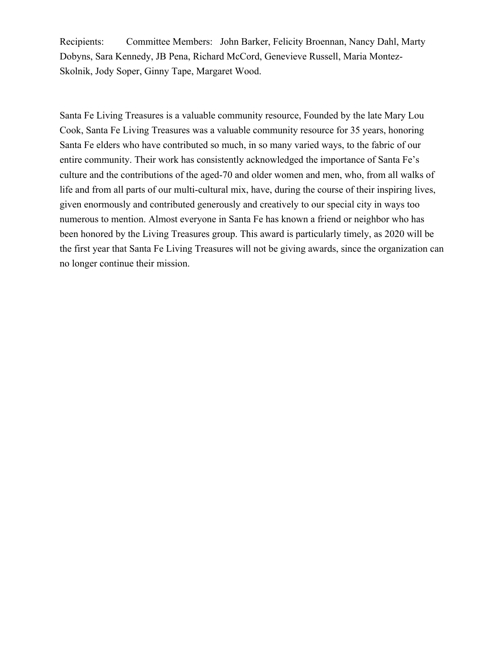Recipients: Committee Members: John Barker, Felicity Broennan, Nancy Dahl, Marty Dobyns, Sara Kennedy, JB Pena, Richard McCord, Genevieve Russell, Maria Montez-Skolnik, Jody Soper, Ginny Tape, Margaret Wood.

Santa Fe Living Treasures is a valuable community resource, Founded by the late Mary Lou Cook, Santa Fe Living Treasures was a valuable community resource for 35 years, honoring Santa Fe elders who have contributed so much, in so many varied ways, to the fabric of our entire community. Their work has consistently acknowledged the importance of Santa Fe's culture and the contributions of the aged-70 and older women and men, who, from all walks of life and from all parts of our multi-cultural mix, have, during the course of their inspiring lives, given enormously and contributed generously and creatively to our special city in ways too numerous to mention. Almost everyone in Santa Fe has known a friend or neighbor who has been honored by the Living Treasures group. This award is particularly timely, as 2020 will be the first year that Santa Fe Living Treasures will not be giving awards, since the organization can no longer continue their mission.